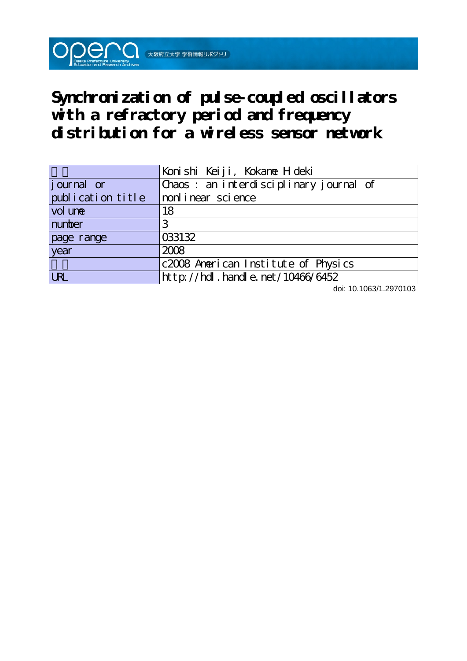**Synchronization of pulse-coupled oscillators with a refractory period and frequency distribution for a wireless sensor network**

 $\bigcirc$   $\bigcirc$   $\bigcirc$   $\bigcirc$   $\bigcirc$   $\bigcirc$   $\bigcirc$   $\bigcirc$   $\bigcirc$   $\bigcirc$   $\bigcirc$   $\bigcirc$   $\bigcirc$   $\bigcirc$   $\bigcirc$   $\bigcirc$   $\bigcirc$   $\bigcirc$   $\bigcirc$   $\bigcirc$   $\bigcirc$   $\bigcirc$   $\bigcirc$   $\bigcirc$   $\bigcirc$   $\bigcirc$   $\bigcirc$   $\bigcirc$   $\bigcirc$   $\bigcirc$   $\bigcirc$   $\bigcirc$   $\bigcirc$   $\bigcirc$   $\bigcirc$   $\bigcirc$   $\bigcirc$ 

|                   | Konishi Keiji, Kokanne Hideki          |
|-------------------|----------------------------------------|
| journal or        | Chaos: an interdisciplinary journal of |
| publication title | nonlinear science                      |
| vol une           | 18                                     |
| number            |                                        |
| page range        | 033132                                 |
| year              | 2008                                   |
|                   | c2008 American Institute of Physics    |
| <b>URL</b>        | http://hdl.handle.net/10466/6452       |

doi: 10.1063/1.2970103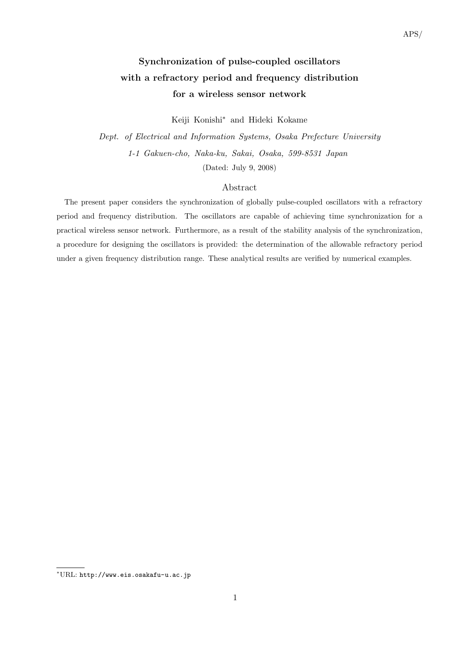# **Synchronization of pulse-coupled oscillators with a refractory period and frequency distribution for a wireless sensor network**

Keiji Konishi*<sup>∗</sup>* and Hideki Kokame

*Dept. of Electrical and Information Systems, Osaka Prefecture University 1-1 Gakuen-cho, Naka-ku, Sakai, Osaka, 599-8531 Japan* (Dated: July 9, 2008)

# Abstract

The present paper considers the synchronization of globally pulse-coupled oscillators with a refractory period and frequency distribution. The oscillators are capable of achieving time synchronization for a practical wireless sensor network. Furthermore, as a result of the stability analysis of the synchronization, a procedure for designing the oscillators is provided: the determination of the allowable refractory period under a given frequency distribution range. These analytical results are verified by numerical examples.

*<sup>∗</sup>*URL: http://www.eis.osakafu-u.ac.jp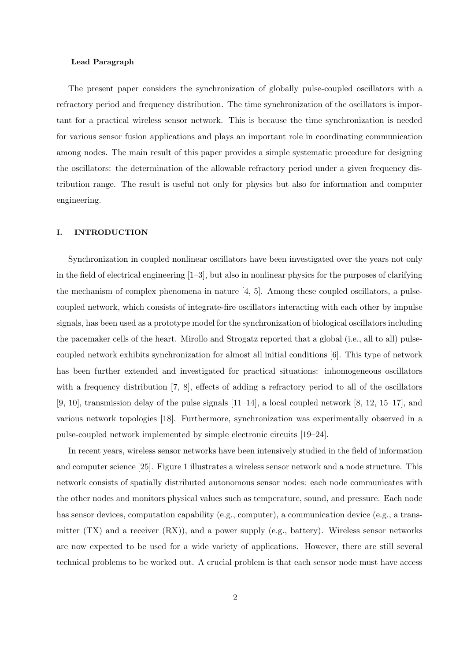## **Lead Paragraph**

The present paper considers the synchronization of globally pulse-coupled oscillators with a refractory period and frequency distribution. The time synchronization of the oscillators is important for a practical wireless sensor network. This is because the time synchronization is needed for various sensor fusion applications and plays an important role in coordinating communication among nodes. The main result of this paper provides a simple systematic procedure for designing the oscillators: the determination of the allowable refractory period under a given frequency distribution range. The result is useful not only for physics but also for information and computer engineering.

## **I. INTRODUCTION**

Synchronization in coupled nonlinear oscillators have been investigated over the years not only in the field of electrical engineering [1–3], but also in nonlinear physics for the purposes of clarifying the mechanism of complex phenomena in nature [4, 5]. Among these coupled oscillators, a pulsecoupled network, which consists of integrate-fire oscillators interacting with each other by impulse signals, has been used as a prototype model for the synchronization of biological oscillators including the pacemaker cells of the heart. Mirollo and Strogatz reported that a global (i.e., all to all) pulsecoupled network exhibits synchronization for almost all initial conditions [6]. This type of network has been further extended and investigated for practical situations: inhomogeneous oscillators with a frequency distribution [7, 8], effects of adding a refractory period to all of the oscillators  $[9, 10]$ , transmission delay of the pulse signals  $[11-14]$ , a local coupled network  $[8, 12, 15-17]$ , and various network topologies [18]. Furthermore, synchronization was experimentally observed in a pulse-coupled network implemented by simple electronic circuits [19–24].

In recent years, wireless sensor networks have been intensively studied in the field of information and computer science [25]. Figure 1 illustrates a wireless sensor network and a node structure. This network consists of spatially distributed autonomous sensor nodes: each node communicates with the other nodes and monitors physical values such as temperature, sound, and pressure. Each node has sensor devices, computation capability (e.g., computer), a communication device (e.g., a transmitter  $(TX)$  and a receiver  $(RX)$ , and a power supply (e.g., battery). Wireless sensor networks are now expected to be used for a wide variety of applications. However, there are still several technical problems to be worked out. A crucial problem is that each sensor node must have access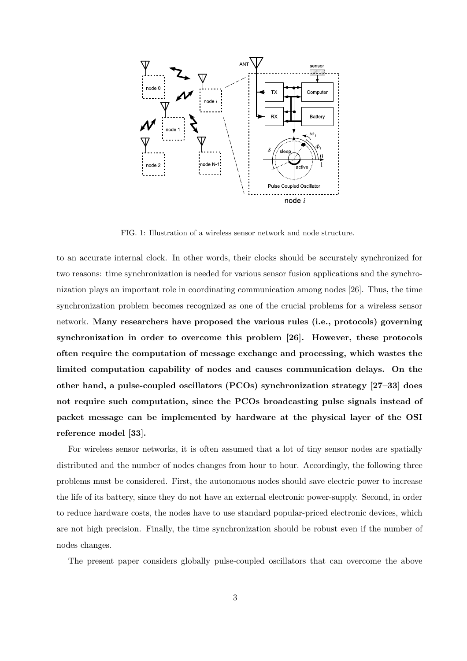

FIG. 1: Illustration of a wireless sensor network and node structure.

to an accurate internal clock. In other words, their clocks should be accurately synchronized for two reasons: time synchronization is needed for various sensor fusion applications and the synchronization plays an important role in coordinating communication among nodes [26]. Thus, the time synchronization problem becomes recognized as one of the crucial problems for a wireless sensor network. **Many researchers have proposed the various rules (i.e., protocols) governing synchronization in order to overcome this problem [26]. However, these protocols often require the computation of message exchange and processing, which wastes the limited computation capability of nodes and causes communication delays. On the other hand, a pulse-coupled oscillators (PCOs) synchronization strategy [27–33] does not require such computation, since the PCOs broadcasting pulse signals instead of packet message can be implemented by hardware at the physical layer of the OSI reference model [33].**

For wireless sensor networks, it is often assumed that a lot of tiny sensor nodes are spatially distributed and the number of nodes changes from hour to hour. Accordingly, the following three problems must be considered. First, the autonomous nodes should save electric power to increase the life of its battery, since they do not have an external electronic power-supply. Second, in order to reduce hardware costs, the nodes have to use standard popular-priced electronic devices, which are not high precision. Finally, the time synchronization should be robust even if the number of nodes changes.

The present paper considers globally pulse-coupled oscillators that can overcome the above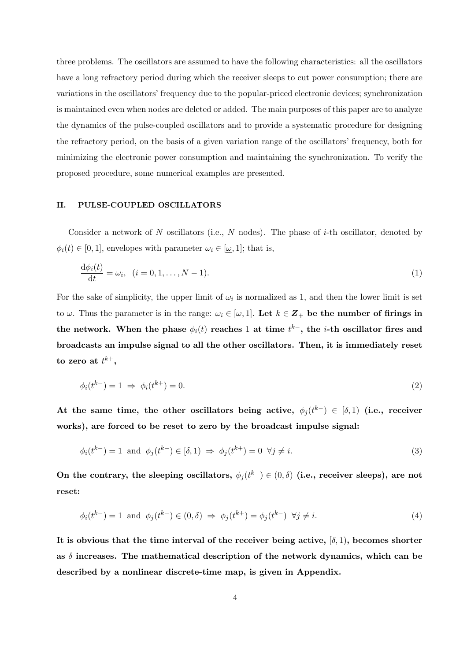three problems. The oscillators are assumed to have the following characteristics: all the oscillators have a long refractory period during which the receiver sleeps to cut power consumption; there are variations in the oscillators' frequency due to the popular-priced electronic devices; synchronization is maintained even when nodes are deleted or added. The main purposes of this paper are to analyze the dynamics of the pulse-coupled oscillators and to provide a systematic procedure for designing the refractory period, on the basis of a given variation range of the oscillators' frequency, both for minimizing the electronic power consumption and maintaining the synchronization. To verify the proposed procedure, some numerical examples are presented.

## **II. PULSE-COUPLED OSCILLATORS**

Consider a network of *N* oscillators (i.e., *N* nodes). The phase of *i*-th oscillator, denoted by  $\phi_i(t) \in [0,1]$ , envelopes with parameter  $\omega_i \in [\underline{\omega},1]$ ; that is,

$$
\frac{\mathrm{d}\phi_i(t)}{\mathrm{d}t} = \omega_i, \quad (i = 0, 1, \dots, N - 1). \tag{1}
$$

For the sake of simplicity, the upper limit of  $\omega_i$  is normalized as 1, and then the lower limit is set to  $\underline{\omega}$ . Thus the parameter is in the range:  $\omega_i \in [\underline{\omega}, 1]$ . Let  $k \in \mathbb{Z}_+$  be the number of firings in  $t$ he network. When the phase  $\phi_i(t)$  reaches 1 at time  $t^{k-}$ , the *i*-th oscillator fires and **broadcasts an impulse signal to all the other oscillators. Then, it is immediately reset**  $\mathbf{t}$ **o** zero at  $t^{k+},$ 

$$
\phi_i(t^{k-}) = 1 \implies \phi_i(t^{k+}) = 0. \tag{2}
$$

At the same time, the other oscillators being active,  $\phi_j(t^{k-}) \in [\delta, 1]$  (i.e., receiver **works), are forced to be reset to zero by the broadcast impulse signal:**

$$
\phi_i(t^{k-}) = 1 \quad \text{and} \quad \phi_j(t^{k-}) \in [\delta, 1) \Rightarrow \phi_j(t^{k+}) = 0 \quad \forall j \neq i. \tag{3}
$$

On the contrary, the sleeping oscillators,  $\phi_j(t^{k-}) \in (0,\delta)$  (i.e., receiver sleeps), are not **reset:**

$$
\phi_i(t^{k-}) = 1 \quad \text{and} \quad \phi_j(t^{k-}) \in (0, \delta) \implies \phi_j(t^{k+}) = \phi_j(t^{k-}) \quad \forall j \neq i. \tag{4}
$$

It is obvious that the time interval of the receiver being active,  $[\delta, 1]$ , becomes shorter **as** *δ* **increases. The mathematical description of the network dynamics, which can be described by a nonlinear discrete-time map, is given in Appendix.**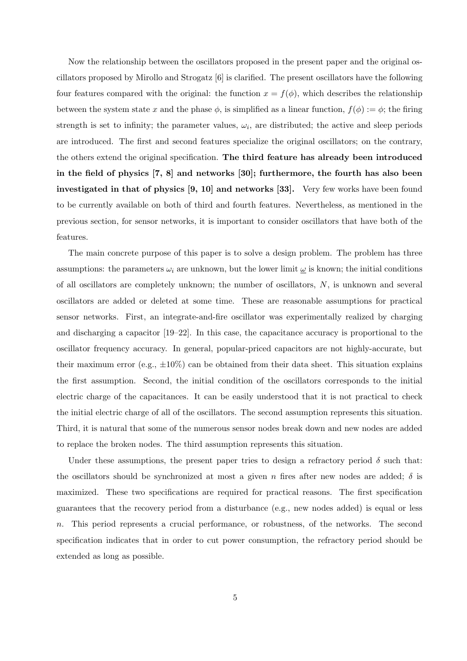Now the relationship between the oscillators proposed in the present paper and the original oscillators proposed by Mirollo and Strogatz [6] is clarified. The present oscillators have the following four features compared with the original: the function  $x = f(\phi)$ , which describes the relationship between the system state *x* and the phase  $\phi$ , is simplified as a linear function,  $f(\phi) := \phi$ ; the firing strength is set to infinity; the parameter values,  $\omega_i$ , are distributed; the active and sleep periods are introduced. The first and second features specialize the original oscillators; on the contrary, the others extend the original specification. **The third feature has already been introduced in the field of physics [7, 8] and networks [30]; furthermore, the fourth has also been investigated in that of physics [9, 10] and networks [33].** Very few works have been found to be currently available on both of third and fourth features. Nevertheless, as mentioned in the previous section, for sensor networks, it is important to consider oscillators that have both of the features.

The main concrete purpose of this paper is to solve a design problem. The problem has three assumptions: the parameters  $\omega_i$  are unknown, but the lower limit  $\omega$  is known; the initial conditions of all oscillators are completely unknown; the number of oscillators, *N*, is unknown and several oscillators are added or deleted at some time. These are reasonable assumptions for practical sensor networks. First, an integrate-and-fire oscillator was experimentally realized by charging and discharging a capacitor [19–22]. In this case, the capacitance accuracy is proportional to the oscillator frequency accuracy. In general, popular-priced capacitors are not highly-accurate, but their maximum error (e.g., *±*10%) can be obtained from their data sheet. This situation explains the first assumption. Second, the initial condition of the oscillators corresponds to the initial electric charge of the capacitances. It can be easily understood that it is not practical to check the initial electric charge of all of the oscillators. The second assumption represents this situation. Third, it is natural that some of the numerous sensor nodes break down and new nodes are added to replace the broken nodes. The third assumption represents this situation.

Under these assumptions, the present paper tries to design a refractory period  $\delta$  such that: the oscillators should be synchronized at most a given *n* fires after new nodes are added; *δ* is maximized. These two specifications are required for practical reasons. The first specification guarantees that the recovery period from a disturbance (e.g., new nodes added) is equal or less *n*. This period represents a crucial performance, or robustness, of the networks. The second specification indicates that in order to cut power consumption, the refractory period should be extended as long as possible.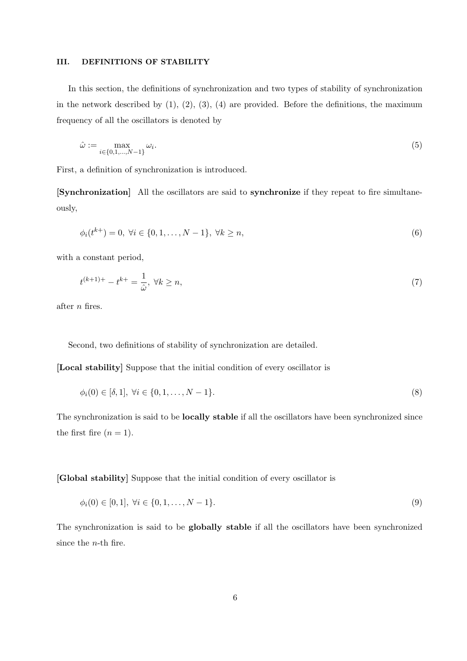#### **III. DEFINITIONS OF STABILITY**

In this section, the definitions of synchronization and two types of stability of synchronization in the network described by  $(1)$ ,  $(2)$ ,  $(3)$ ,  $(4)$  are provided. Before the definitions, the maximum frequency of all the oscillators is denoted by

$$
\hat{\omega} := \max_{i \in \{0, 1, \dots, N-1\}} \omega_i.
$$
\n(5)

First, a definition of synchronization is introduced.

**[Synchronization]** All the oscillators are said to **synchronize** if they repeat to fire simultaneously,

$$
\phi_i(t^{k+}) = 0, \ \forall i \in \{0, 1, \dots, N-1\}, \ \forall k \ge n,
$$
\n<sup>(6)</sup>

with a constant period,

$$
t^{(k+1)+} - t^{k+} = \frac{1}{\hat{\omega}}, \ \forall k \ge n,\tag{7}
$$

after *n* fires.

Second, two definitions of stability of synchronization are detailed.

**[Local stability]** Suppose that the initial condition of every oscillator is

$$
\phi_i(0) \in [\delta, 1], \ \forall i \in \{0, 1, \dots, N - 1\}.
$$
\n<sup>(8)</sup>

The synchronization is said to be **locally stable** if all the oscillators have been synchronized since the first fire  $(n = 1)$ .

**[Global stability]** Suppose that the initial condition of every oscillator is

$$
\phi_i(0) \in [0, 1], \ \forall i \in \{0, 1, \dots, N - 1\}.
$$
\n
$$
(9)
$$

The synchronization is said to be **globally stable** if all the oscillators have been synchronized since the *n*-th fire.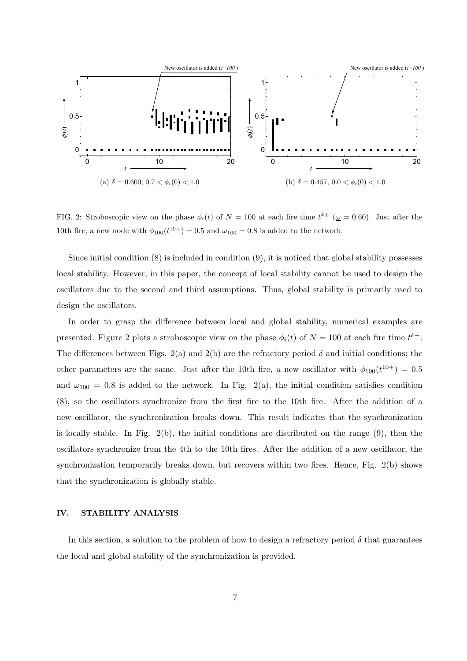

FIG. 2: Stroboscopic view on the phase  $\phi_i(t)$  of  $N = 100$  at each fire time  $t^{k+}$  ( $\omega = 0.60$ ). Just after the 10th fire, a new node with  $\phi_{100}(t^{10+}) = 0.5$  and  $\omega_{100} = 0.8$  is added to the network.

Since initial condition  $(8)$  is included in condition  $(9)$ , it is noticed that global stability possesses local stability. However, in this paper, the concept of local stability cannot be used to design the oscillators due to the second and third assumptions. Thus, global stability is primarily used to design the oscillators.

In order to grasp the difference between local and global stability, numerical examples are presented. Figure 2 plots a stroboscopic view on the phase  $\phi_i(t)$  of  $N = 100$  at each fire time  $t^{k+}$ . The differences between Figs.  $2(a)$  and  $2(b)$  are the refractory period  $\delta$  and initial conditions; the other parameters are the same. Just after the 10th fire, a new oscillator with  $\phi_{100}(t^{10+}) = 0.5$ and  $\omega_{100} = 0.8$  is added to the network. In Fig. 2(a), the initial condition satisfies condition (8), so the oscillators synchronize from the first fire to the 10th fire. After the addition of a new oscillator, the synchronization breaks down. This result indicates that the synchronization is locally stable. In Fig. 2(b), the initial conditions are distributed on the range (9), then the oscillators synchronize from the 4th to the 10th fires. After the addition of a new oscillator, the synchronization temporarily breaks down, but recovers within two fires. Hence, Fig. 2(b) shows that the synchronization is globally stable.

## **IV. STABILITY ANALYSIS**

In this section, a solution to the problem of how to design a refractory period  $\delta$  that guarantees the local and global stability of the synchronization is provided.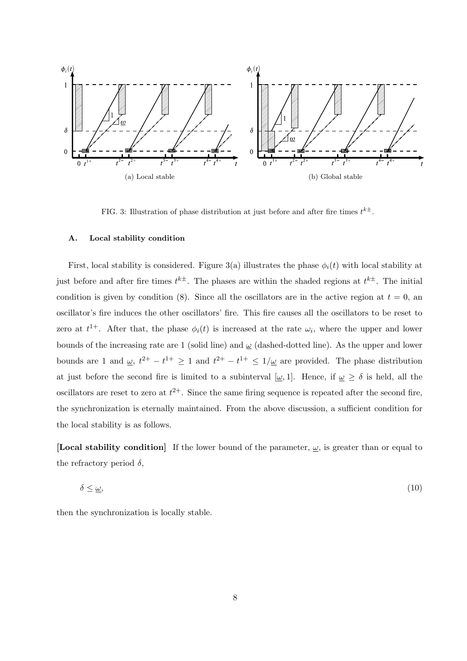

FIG. 3: Illustration of phase distribution at just before and after fire times  $t^{k\pm}$ .

## **A. Local stability condition**

First, local stability is considered. Figure 3(a) illustrates the phase  $\phi_i(t)$  with local stability at just before and after fire times  $t^{k\pm}$ . The phases are within the shaded regions at  $t^{k\pm}$ . The initial condition is given by condition (8). Since all the oscillators are in the active region at  $t = 0$ , and oscillator's fire induces the other oscillators' fire. This fire causes all the oscillators to be reset to zero at  $t^{1+}$ . After that, the phase  $\phi_i(t)$  is increased at the rate  $\omega_i$ , where the upper and lower bounds of the increasing rate are 1 (solid line) and *ω* (dashed-dotted line). As the upper and lower bounds are 1 and  $\omega$ ,  $t^{2+} - t^{1+} \ge 1$  and  $t^{2+} - t^{1+} \le 1/\omega$  are provided. The phase distribution at just before the second fire is limited to a subinterval  $[\underline{\omega}, 1]$ . Hence, if  $\underline{\omega} \ge \delta$  is held, all the oscillators are reset to zero at  $t^{2+}$ . Since the same firing sequence is repeated after the second fire, the synchronization is eternally maintained. From the above discussion, a sufficient condition for the local stability is as follows.

**[Local stability condition]** If the lower bound of the parameter,  $\omega$ , is greater than or equal to the refractory period  $\delta$ ,

$$
\delta \le \underline{\omega},\tag{10}
$$

then the synchronization is locally stable.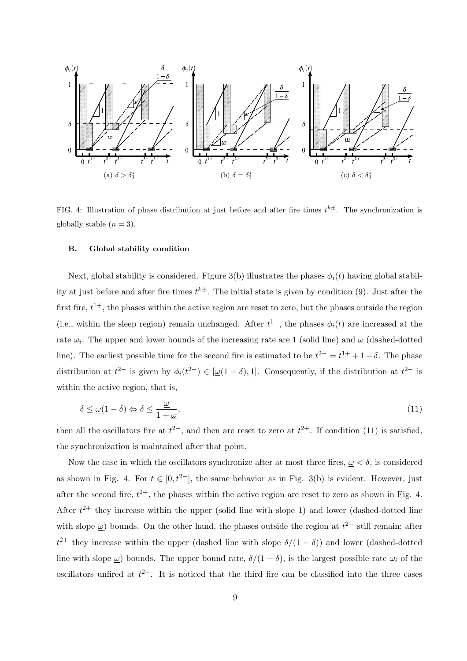

FIG. 4: Illustration of phase distribution at just before and after fire times  $t^{k\pm}$ . The synchronization is globally stable  $(n=3)$ .

#### **B. Global stability condition**

Next, global stability is considered. Figure 3(b) illustrates the phases  $\phi_i(t)$  having global stability at just before and after fire times  $t^{k\pm}$ . The initial state is given by condition (9). Just after the first fire,  $t^{1+}$ , the phases within the active region are reset to zero, but the phases outside the region (i.e., within the sleep region) remain unchanged. After  $t^{1+}$ , the phases  $\phi_i(t)$  are increased at the rate *ω<sup>i</sup>* . The upper and lower bounds of the increasing rate are 1 (solid line) and *ω* (dashed-dotted line). The earliest possible time for the second fire is estimated to be  $t^{2-} = t^{1+} + 1 - \delta$ . The phase distribution at  $t^{2-}$  is given by  $\phi_i(t^{2-}) \in [\underline{\omega}(1-\delta),1]$ . Consequently, if the distribution at  $t^{2-}$  is within the active region, that is,

$$
\delta \le \underline{\omega}(1-\delta) \Leftrightarrow \delta \le \frac{\underline{\omega}}{1+\underline{\omega}},\tag{11}
$$

then all the oscillators fire at  $t^{2-}$ , and then are reset to zero at  $t^{2+}$ . If condition (11) is satisfied, the synchronization is maintained after that point.

Now the case in which the oscillators synchronize after at most three fires,  $\omega < \delta$ , is considered as shown in Fig. 4. For  $t \in [0, t^{2-}]$ , the same behavior as in Fig. 3(b) is evident. However, just after the second fire,  $t^{2+}$ , the phases within the active region are reset to zero as shown in Fig. 4. After  $t^{2+}$  they increase within the upper (solid line with slope 1) and lower (dashed-dotted line with slope  $\omega$ ) bounds. On the other hand, the phases outside the region at  $t^{2-}$  still remain; after  $t^{2+}$  they increase within the upper (dashed line with slope  $\delta/(1-\delta)$ ) and lower (dashed-dotted line with slope <u> $\omega$ </u>) bounds. The upper bound rate,  $\delta/(1-\delta)$ , is the largest possible rate  $\omega_i$  of the oscillators unfired at *t* <sup>2</sup>*−*. It is noticed that the third fire can be classified into the three cases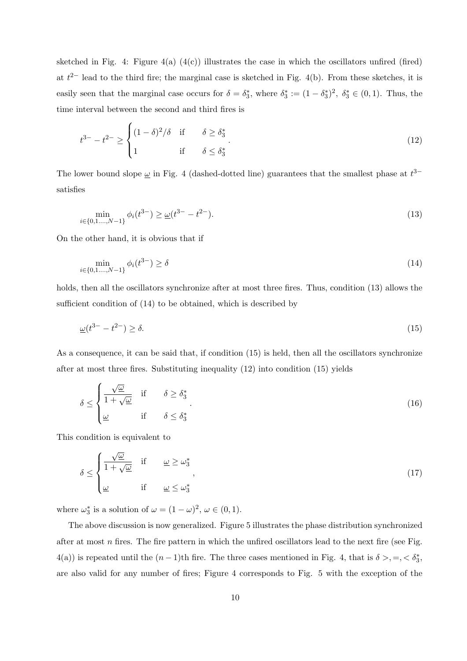sketched in Fig. 4: Figure  $4(a)$   $(4(c))$  illustrates the case in which the oscillators unfired (fired) at  $t^{2-}$  lead to the third fire; the marginal case is sketched in Fig. 4(b). From these sketches, it is easily seen that the marginal case occurs for  $\delta = \delta_3^*$ , where  $\delta_3^* := (1 - \delta_3^*)^2$ ,  $\delta_3^* \in (0, 1)$ . Thus, the time interval between the second and third fires is

$$
t^{3-} - t^{2-} \ge \begin{cases} (1 - \delta)^2 / \delta & \text{if } \delta \ge \delta_3^* \\ 1 & \text{if } \delta \le \delta_3^* \end{cases} \tag{12}
$$

The lower bound slope  $\omega$  in Fig. 4 (dashed-dotted line) guarantees that the smallest phase at  $t^{3-}$ satisfies

$$
\min_{i \in \{0, 1, \dots, N-1\}} \phi_i(t^{3-}) \ge \underline{\omega}(t^{3-} - t^{2-}).
$$
\n(13)

On the other hand, it is obvious that if

$$
\min_{i \in \{0, 1, \dots, N-1\}} \phi_i(t^{3-}) \ge \delta \tag{14}
$$

holds, then all the oscillators synchronize after at most three fires. Thus, condition (13) allows the sufficient condition of (14) to be obtained, which is described by

$$
\underline{\omega}(t^{3-} - t^{2-}) \ge \delta. \tag{15}
$$

As a consequence, it can be said that, if condition (15) is held, then all the oscillators synchronize after at most three fires. Substituting inequality (12) into condition (15) yields

$$
\delta \le \begin{cases} \frac{\sqrt{\omega}}{1 + \sqrt{\omega}} & \text{if } \delta \ge \delta_3^* \\ \frac{\omega}{\omega} & \text{if } \delta \le \delta_3^* \end{cases} \tag{16}
$$

This condition is equivalent to

$$
\delta \le \begin{cases} \frac{\sqrt{\omega}}{1 + \sqrt{\omega}} & \text{if } \omega \ge \omega_3^* \\ \frac{\omega}{1 + \omega} & \text{if } \omega \le \omega_3^* \end{cases}
$$
 (17)

where  $\omega_3^*$  is a solution of  $\omega = (1 - \omega)^2, \omega \in (0, 1)$ .

The above discussion is now generalized. Figure 5 illustrates the phase distribution synchronized after at most *n* fires. The fire pattern in which the unfired oscillators lead to the next fire (see Fig.  $4(a)$ ) is repeated until the  $(n-1)$ th fire. The three cases mentioned in Fig. 4, that is  $\delta > , = , < \delta_3^*$ , are also valid for any number of fires; Figure 4 corresponds to Fig. 5 with the exception of the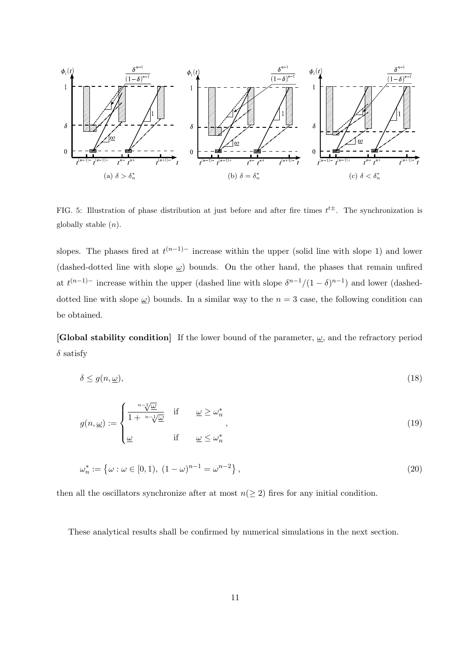

FIG. 5: Illustration of phase distribution at just before and after fire times  $t^{t\pm}$ . The synchronization is globally stable (*n*).

slopes. The phases fired at  $t^{(n-1)-}$  increase within the upper (solid line with slope 1) and lower (dashed-dotted line with slope *ω*) bounds. On the other hand, the phases that remain unfired at  $t^{(n-1)-}$  increase within the upper (dashed line with slope  $\delta^{n-1}/(1-\delta)^{n-1}$ ) and lower (dasheddotted line with slope  $\omega$ ) bounds. In a similar way to the  $n = 3$  case, the following condition can be obtained.

**[Global stability condition]** If the lower bound of the parameter, *ω*, and the refractory period *δ* satisfy

$$
\delta \le g(n,\underline{\omega}),\tag{18}
$$

$$
g(n, \underline{\omega}) := \begin{cases} \frac{n - 1/\underline{\omega}}{1 + n - 1/\underline{\omega}} & \text{if } \quad \underline{\omega} \ge \omega_n^* \\ \underline{\omega} & \text{if } \quad \underline{\omega} \le \omega_n^* \end{cases}
$$
(19)

$$
\omega_n^* := \{ \omega : \omega \in [0, 1), (1 - \omega)^{n - 1} = \omega^{n - 2} \},
$$
\n(20)

then all the oscillators synchronize after at most  $n(\geq 2)$  fires for any initial condition.

These analytical results shall be confirmed by numerical simulations in the next section.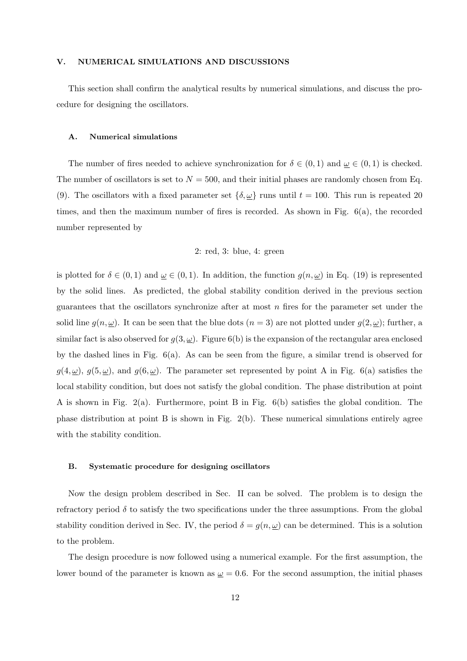## **V. NUMERICAL SIMULATIONS AND DISCUSSIONS**

This section shall confirm the analytical results by numerical simulations, and discuss the procedure for designing the oscillators.

#### **A. Numerical simulations**

The number of fires needed to achieve synchronization for  $\delta \in (0,1)$  and  $\underline{\omega} \in (0,1)$  is checked. The number of oscillators is set to  $N = 500$ , and their initial phases are randomly chosen from Eq. (9). The oscillators with a fixed parameter set  $\{\delta, \underline{\omega}\}\$ runs until  $t = 100$ . This run is repeated 20 times, and then the maximum number of fires is recorded. As shown in Fig.  $6(a)$ , the recorded number represented by

## 2: red, 3: blue, 4: green

is plotted for  $\delta \in (0,1)$  and  $\underline{\omega} \in (0,1)$ . In addition, the function  $g(n, \underline{\omega})$  in Eq. (19) is represented by the solid lines. As predicted, the global stability condition derived in the previous section guarantees that the oscillators synchronize after at most *n* fires for the parameter set under the solid line  $g(n, \underline{\omega})$ . It can be seen that the blue dots  $(n = 3)$  are not plotted under  $g(2, \underline{\omega})$ ; further, a similar fact is also observed for  $g(3, \underline{\omega})$ . Figure 6(b) is the expansion of the rectangular area enclosed by the dashed lines in Fig. 6(a). As can be seen from the figure, a similar trend is observed for  $g(4,\underline{\omega})$ ,  $g(5,\underline{\omega})$ , and  $g(6,\underline{\omega})$ . The parameter set represented by point A in Fig. 6(a) satisfies the local stability condition, but does not satisfy the global condition. The phase distribution at point A is shown in Fig.  $2(a)$ . Furthermore, point B in Fig.  $6(b)$  satisfies the global condition. The phase distribution at point B is shown in Fig. 2(b). These numerical simulations entirely agree with the stability condition.

#### **B. Systematic procedure for designing oscillators**

Now the design problem described in Sec. II can be solved. The problem is to design the refractory period  $\delta$  to satisfy the two specifications under the three assumptions. From the global stability condition derived in Sec. IV, the period  $\delta = g(n, \underline{\omega})$  can be determined. This is a solution to the problem.

The design procedure is now followed using a numerical example. For the first assumption, the lower bound of the parameter is known as  $\omega = 0.6$ . For the second assumption, the initial phases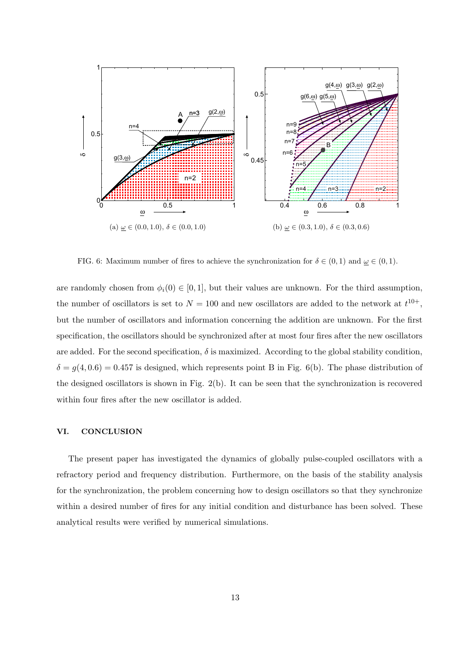

FIG. 6: Maximum number of fires to achieve the synchronization for  $\delta \in (0,1)$  and  $\omega \in (0,1)$ .

are randomly chosen from  $\phi_i(0) \in [0,1]$ , but their values are unknown. For the third assumption, the number of oscillators is set to  $N = 100$  and new oscillators are added to the network at  $t^{10+}$ , but the number of oscillators and information concerning the addition are unknown. For the first specification, the oscillators should be synchronized after at most four fires after the new oscillators are added. For the second specification,  $\delta$  is maximized. According to the global stability condition,  $\delta = g(4, 0.6) = 0.457$  is designed, which represents point B in Fig. 6(b). The phase distribution of the designed oscillators is shown in Fig. 2(b). It can be seen that the synchronization is recovered within four fires after the new oscillator is added.

#### **VI. CONCLUSION**

The present paper has investigated the dynamics of globally pulse-coupled oscillators with a refractory period and frequency distribution. Furthermore, on the basis of the stability analysis for the synchronization, the problem concerning how to design oscillators so that they synchronize within a desired number of fires for any initial condition and disturbance has been solved. These analytical results were verified by numerical simulations.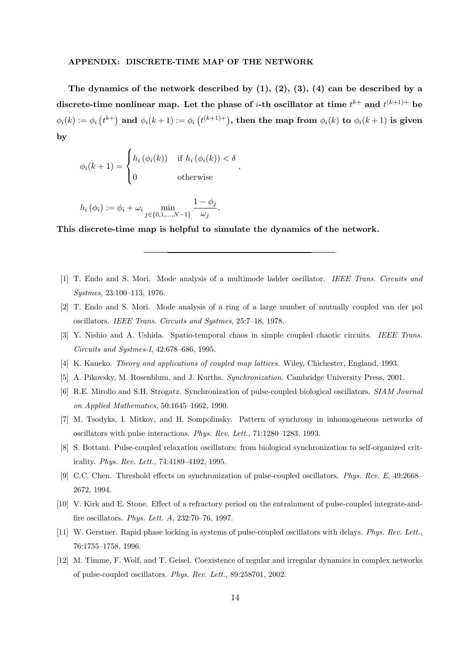#### **APPENDIX: DISCRETE-TIME MAP OF THE NETWORK**

**The dynamics of the network described by (1), (2), (3), (4) can be described by a**  $\mathbf{d}$  iscrete-time nonlinear map. Let the phase of *i*-th oscillator at time  $t^{k+}$  and  $t^{(k+1)+}$  be  $\phi_i(k):=\phi_i\left(t^{k+}\right)$  and  $\phi_i(k+1):=\phi_i\left(t^{(k+1)+}\right)$ , then the map from  $\phi_i(k)$  to  $\phi_i(k+1)$  is given **by**

*,*

$$
\phi_i(k+1) = \begin{cases} h_i(\phi_i(k)) & \text{if } h_i(\phi_i(k)) < \delta \\ 0 & \text{otherwise} \end{cases}
$$

$$
h_i(\phi_i) := \phi_i + \omega_i \min_{j \in \{0, 1, ..., N-1\}} \frac{1 - \phi_j}{\omega_j}.
$$

**This discrete-time map is helpful to simulate the dynamics of the network.**

- [1] T. Endo and S. Mori. Mode analysis of a multimode ladder oscillator. *IEEE Trans. Circuits and Systmes*, 23:100–113, 1976.
- [2] T. Endo and S. Mori. Mode analysis of a ring of a large number of mutually coupled van der pol oscillators. *IEEE Trans. Circuits and Systmes*, 25:7–18, 1978.
- [3] Y. Nishio and A. Ushida. Spatio-temporal chaos in simple coupled chaotic circuits. *IEEE Trans. Circuits and Systmes-I*, 42:678–686, 1995.
- [4] K. Kaneko. *Theory and applications of coupled map lattices*. Wiley, Chichester, England, 1993.
- [5] A. Pikovsky, M. Rosenblum, and J. Kurths. *Synchronization*. Cambridge University Press, 2001.
- [6] R.E. Mirollo and S.H. Strogatz. Synchronization of pulse-coupled biological oscillators. *SIAM Journal on Applied Mathematics*, 50:1645–1662, 1990.
- [7] M. Tsodyks, I. Mitkov, and H. Sompolinsky. Pattern of synchrony in inhomogeneous networks of oscillators with pulse interactions. *Phys. Rev. Lett.*, 71:1280–1283, 1993.
- [8] S. Bottani. Pulse-coupled relaxation oscillators: from biological synchronization to self-organized criticality. *Phys. Rev. Lett.*, 74:4189–4192, 1995.
- [9] C.C. Chen. Threshold effects on synchronization of pulse-coupled oscillators. *Phys. Rev. E*, 49:2668– 2672, 1994.
- [10] V. Kirk and E. Stone. Effect of a refractory period on the entrainment of pulse-coupled integrate-andfire oscillators. *Phys. Lett. A*, 232:70–76, 1997.
- [11] W. Gerstner. Rapid phase locking in systems of pulse-coupled oscillators with delays. *Phys. Rev. Lett.*, 76:1755–1758, 1996.
- [12] M. Timme, F. Wolf, and T. Geisel. Coexistence of regular and irregular dynamics in complex networks of pulse-coupled oscillators. *Phys. Rev. Lett.*, 89:258701, 2002.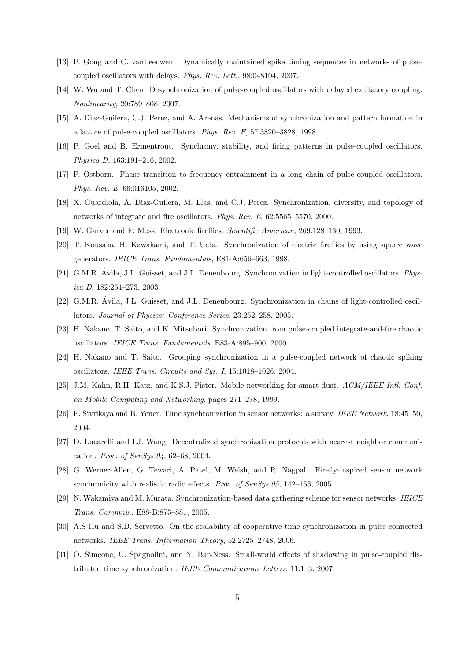- [13] P. Gong and C. vanLeeuwen. Dynamically maintained spike timing sequences in networks of pulsecoupled oscillators with delays. *Phys. Rev. Lett.*, 98:048104, 2007.
- [14] W. Wu and T. Chen. Desynchronization of pulse-coupled oscillators with delayed excitatory coupling. *Nonlinearity*, 20:789–808, 2007.
- [15] A. Diaz-Guilera, C.J. Perez, and A. Arenas. Mechanisms of synchronization and pattern formation in a lattice of pulse-coupled oscillators. *Phys. Rev. E*, 57:3820–3828, 1998.
- [16] P. Goel and B. Ermentrout. Synchrony, stability, and firing patterns in pulse-coupled oscillators. *Physica D*, 163:191–216, 2002.
- [17] P. Ostborn. Phase transition to frequency entrainment in a long chain of pulse-coupled oscillators. *Phys. Rev. E*, 66:016105, 2002.
- [18] X. Guardiola, A. Diaz-Guilera, M. Llas, and C.J. Perez. Synchronization, diversity, and topology of networks of integrate and fire oscillators. *Phys. Rev. E*, 62:5565–5570, 2000.
- [19] W. Garver and F. Moss. Electronic fireflies. *Scientific American*, 269:128–130, 1993.
- [20] T. Kousaka, H. Kawakami, and T. Ueta. Synchronization of electric fireflies by using square wave generators. *IEICE Trans. Fundamentals*, E81-A:656–663, 1998.
- [21] G.M.R. Avila, J.L. Guisset, and J.L. Deneubourg. Synchronization in light-controlled oscillators. ´ *Physica D*, 182:254–273, 2003.
- [22] G.M.R. Ávila, J.L. Guisset, and J.L. Deneubourg. Synchronization in chains of light-controlled oscillators. *Journal of Physics: Conference Series*, 23:252–258, 2005.
- [23] H. Nakano, T. Saito, and K. Mitsubori. Synchronization from pulse-coupled integrate-and-fire chaotic oscillators. *IEICE Trans. Fundamentals*, E83-A:895–900, 2000.
- [24] H. Nakano and T. Saito. Grouping synchronization in a pulse-coupled network of chaotic spiking oscillators. *IEEE Trans. Circuits and Sys. I*, 15:1018–1026, 2004.
- [25] J.M. Kahn, R.H. Katz, and K.S.J. Pister. Mobile networking for smart dust. *ACM/IEEE Intl. Conf. on Mobile Computing and Networking*, pages 271–278, 1999.
- [26] F. Sivrikaya and B. Yener. Time synchronization in sensor networks: a survey. *IEEE Network*, 18:45–50, 2004.
- [27] D. Lucarelli and I.J. Wang. Decentralized synchronization protocols with nearest neighbor communication. *Proc. of SenSys'04*, 62–68, 2004.
- [28] G. Werner-Allen, G. Tewari, A. Patel, M. Welsh, and R. Nagpal. Firefly-inspired sensor network synchronicity with realistic radio effects. *Proc. of SenSys'05*, 142–153, 2005.
- [29] N. Wakamiya and M. Murata. Synchronization-based data gathering scheme for sensor networks. *IEICE Trans. Commnu.*, E88-B:873–881, 2005.
- [30] A.S Hu and S.D. Servetto. On the scalability of cooperative time synchronization in pulse-connected networks. *IEEE Trans. Information Theory*, 52:2725–2748, 2006.
- [31] O. Simeone, U. Spagnolini, and Y. Bar-Ness. Small-world effects of shadowing in pulse-coupled distributed time synchronization. *IEEE Communications Letters*, 11:1–3, 2007.